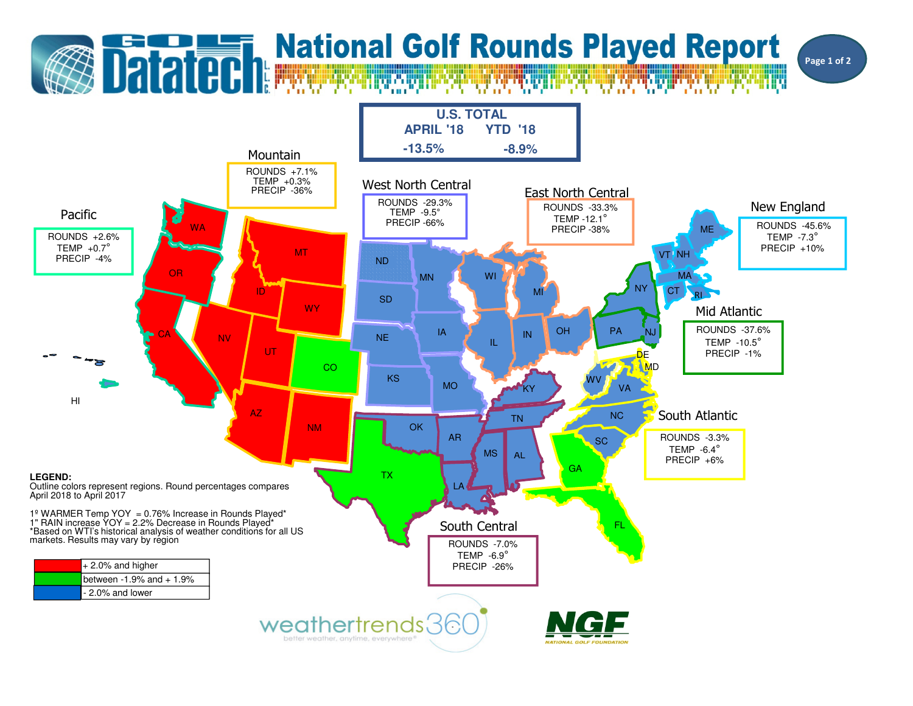